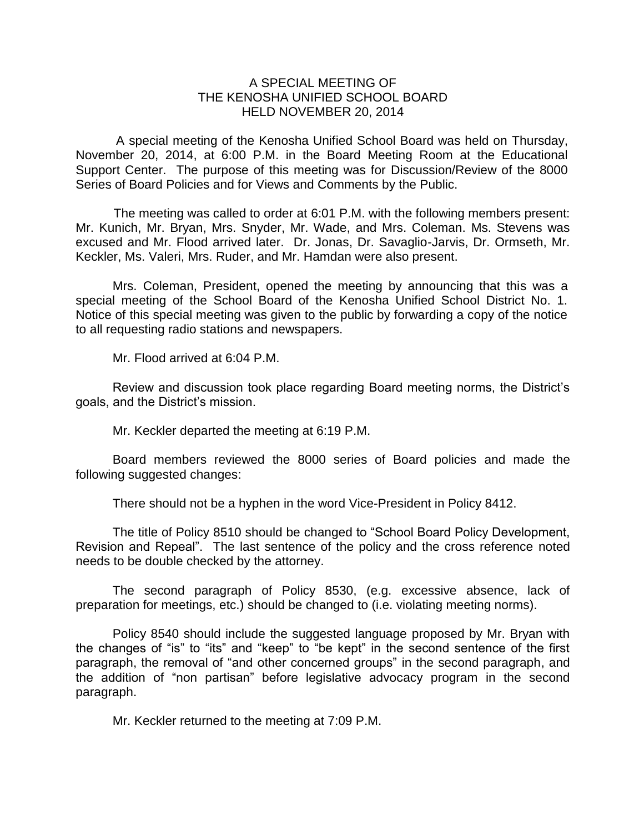## A SPECIAL MEETING OF THE KENOSHA UNIFIED SCHOOL BOARD HELD NOVEMBER 20, 2014

A special meeting of the Kenosha Unified School Board was held on Thursday, November 20, 2014, at 6:00 P.M. in the Board Meeting Room at the Educational Support Center. The purpose of this meeting was for Discussion/Review of the 8000 Series of Board Policies and for Views and Comments by the Public.

The meeting was called to order at 6:01 P.M. with the following members present: Mr. Kunich, Mr. Bryan, Mrs. Snyder, Mr. Wade, and Mrs. Coleman. Ms. Stevens was excused and Mr. Flood arrived later. Dr. Jonas, Dr. Savaglio-Jarvis, Dr. Ormseth, Mr. Keckler, Ms. Valeri, Mrs. Ruder, and Mr. Hamdan were also present.

Mrs. Coleman, President, opened the meeting by announcing that this was a special meeting of the School Board of the Kenosha Unified School District No. 1. Notice of this special meeting was given to the public by forwarding a copy of the notice to all requesting radio stations and newspapers.

Mr. Flood arrived at 6:04 P.M.

Review and discussion took place regarding Board meeting norms, the District's goals, and the District's mission.

Mr. Keckler departed the meeting at 6:19 P.M.

Board members reviewed the 8000 series of Board policies and made the following suggested changes:

There should not be a hyphen in the word Vice-President in Policy 8412.

The title of Policy 8510 should be changed to "School Board Policy Development, Revision and Repeal". The last sentence of the policy and the cross reference noted needs to be double checked by the attorney.

The second paragraph of Policy 8530, (e.g. excessive absence, lack of preparation for meetings, etc.) should be changed to (i.e. violating meeting norms).

Policy 8540 should include the suggested language proposed by Mr. Bryan with the changes of "is" to "its" and "keep" to "be kept" in the second sentence of the first paragraph, the removal of "and other concerned groups" in the second paragraph, and the addition of "non partisan" before legislative advocacy program in the second paragraph.

Mr. Keckler returned to the meeting at 7:09 P.M.